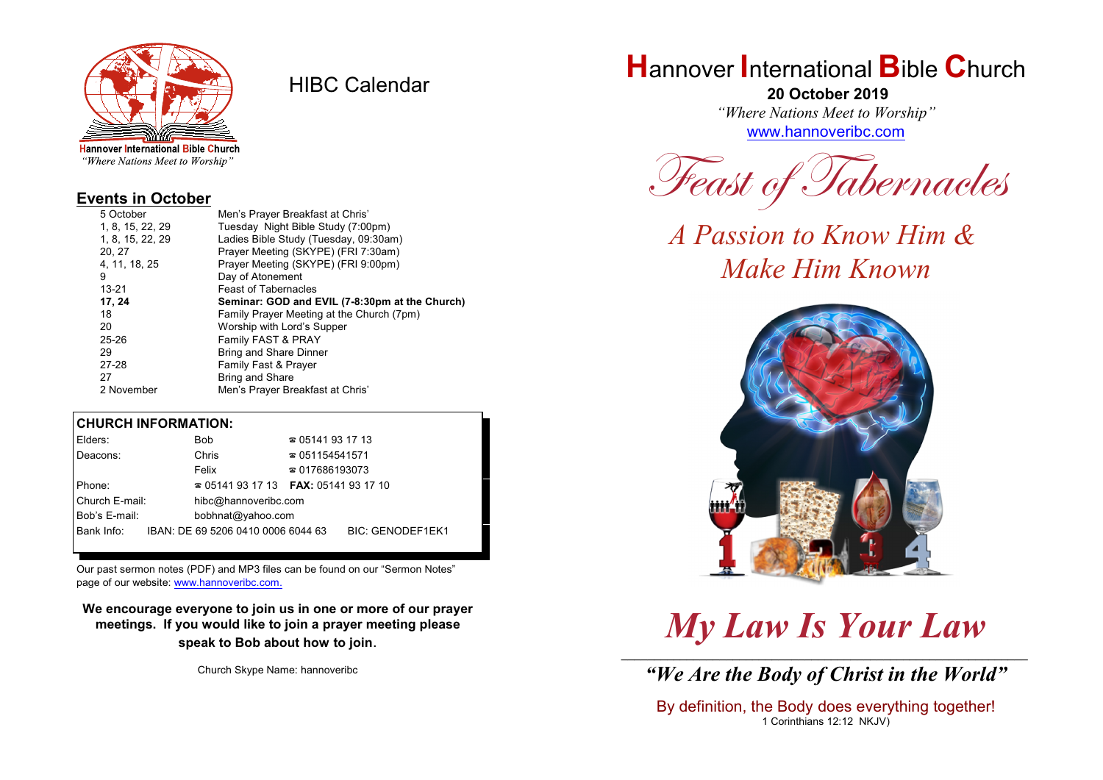

HIBC Calendar

"Where Nations Meet to Worship"

#### **Events in October**

| 5 October        | Men's Prayer Breakfast at Chris'               |  |  |
|------------------|------------------------------------------------|--|--|
| 1, 8, 15, 22, 29 | Tuesday Night Bible Study (7:00pm)             |  |  |
| 1, 8, 15, 22, 29 | Ladies Bible Study (Tuesday, 09:30am)          |  |  |
| 20, 27           | Prayer Meeting (SKYPE) (FRI 7:30am)            |  |  |
| 4, 11, 18, 25    | Prayer Meeting (SKYPE) (FRI 9:00pm)            |  |  |
| 9                | Day of Atonement                               |  |  |
| $13 - 21$        | <b>Feast of Tabernacles</b>                    |  |  |
| 17, 24           | Seminar: GOD and EVIL (7-8:30pm at the Church) |  |  |
| 18               | Family Prayer Meeting at the Church (7pm)      |  |  |
| 20               | Worship with Lord's Supper                     |  |  |
| $25 - 26$        | Family FAST & PRAY                             |  |  |
| 29               | <b>Bring and Share Dinner</b>                  |  |  |
| 27-28            | Family Fast & Prayer                           |  |  |
| 27               | <b>Bring and Share</b>                         |  |  |
| 2 November       | Men's Prayer Breakfast at Chris'               |  |  |

#### **CHURCH INFORMATION:**

| Elders:        | <b>Bob</b>                               | $\approx 05141931713$  |                         |  |
|----------------|------------------------------------------|------------------------|-------------------------|--|
| Deacons:       | Chris                                    | $\approx 051154541571$ |                         |  |
|                | Felix                                    | $\approx 017686193073$ |                         |  |
| Phone:         | $\approx 05141931713$ FAX: 0514193 17 10 |                        |                         |  |
| Church E-mail: | hibc@hannoveribc.com                     |                        |                         |  |
| Bob's E-mail:  | bobhnat@yahoo.com                        |                        |                         |  |
| Bank Info:     | IBAN: DE 69 5206 0410 0006 6044 63       |                        | <b>BIC: GENODEF1EK1</b> |  |
|                |                                          |                        |                         |  |

Our past sermon notes (PDF) and MP3 files can be found on our "Sermon Notes" page of our website: [www.hannoveribc.com.](http://www.hannoveribc.com.)

**We encourage everyone to join us in one or more of our prayer meetings. If you would like to join a prayer meeting please speak to Bob about how to join**.

Church Skype Name: hannoveribc

## **H**annover **I**nternational **B**ible **C**hurch

 **20 October 2019** *"Where Nations Meet to Worship"* [www.hannoveribc.com](http://www.hannoveribc.com)

*Feast of Tabernacles*

*A Passion to Know Him & Make Him Known*



# *My Law Is Your Law*

\_\_\_\_\_\_\_\_\_\_\_\_\_\_\_\_\_\_\_\_\_\_\_\_\_\_\_\_\_\_\_\_\_\_\_\_\_\_\_\_\_\_\_\_\_\_\_\_\_\_\_\_\_\_\_\_\_\_\_\_\_\_ *"We Are the Body of Christ in the World"*

By definition, the Body does everything together! 1 Corinthians 12:12 NKJV)